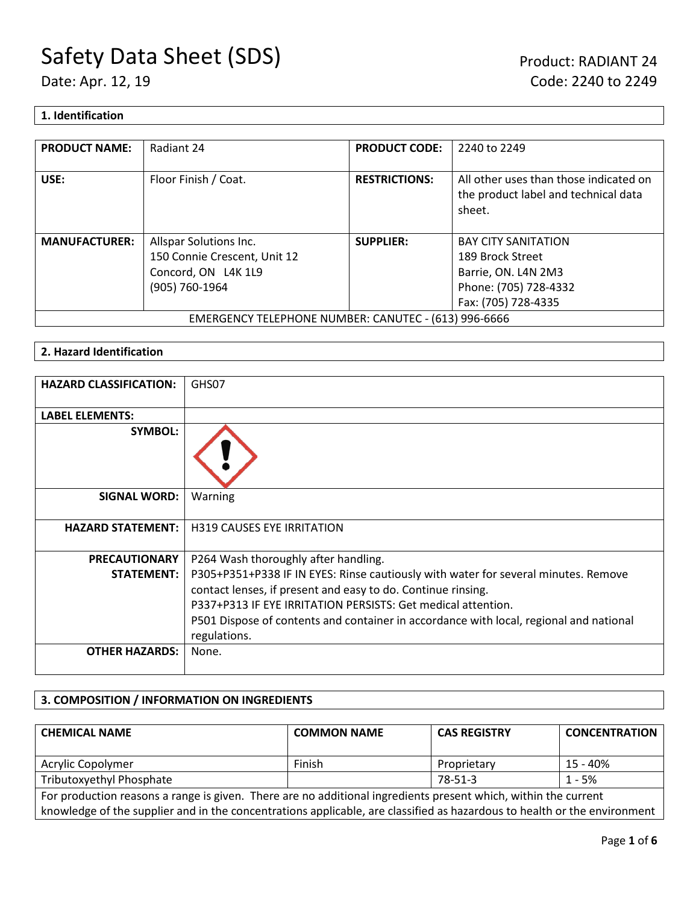#### **1. Identification**

| <b>PRODUCT NAME:</b>                                 | Radiant 24                   | <b>PRODUCT CODE:</b> | 2240 to 2249                                                                             |
|------------------------------------------------------|------------------------------|----------------------|------------------------------------------------------------------------------------------|
| USE:                                                 | Floor Finish / Coat.         | <b>RESTRICTIONS:</b> | All other uses than those indicated on<br>the product label and technical data<br>sheet. |
| <b>MANUFACTURER:</b>                                 | Allspar Solutions Inc.       | <b>SUPPLIER:</b>     | <b>BAY CITY SANITATION</b>                                                               |
|                                                      | 150 Connie Crescent, Unit 12 |                      | 189 Brock Street                                                                         |
|                                                      | Concord, ON L4K 1L9          |                      | Barrie, ON. L4N 2M3                                                                      |
|                                                      | (905) 760-1964               |                      | Phone: (705) 728-4332                                                                    |
|                                                      |                              |                      | Fax: (705) 728-4335                                                                      |
| EMERGENCY TELEPHONE NUMBER: CANUTEC - (613) 996-6666 |                              |                      |                                                                                          |

#### **2. Hazard Identification**

| <b>HAZARD CLASSIFICATION:</b> | GHS07                                                                                                                                              |
|-------------------------------|----------------------------------------------------------------------------------------------------------------------------------------------------|
| <b>LABEL ELEMENTS:</b>        |                                                                                                                                                    |
| <b>SYMBOL:</b>                |                                                                                                                                                    |
| <b>SIGNAL WORD:</b>           | Warning                                                                                                                                            |
| <b>HAZARD STATEMENT:</b>      | <b>H319 CAUSES EYE IRRITATION</b>                                                                                                                  |
| <b>PRECAUTIONARY</b>          | P264 Wash thoroughly after handling.                                                                                                               |
| <b>STATEMENT:</b>             | P305+P351+P338 IF IN EYES: Rinse cautiously with water for several minutes. Remove<br>contact lenses, if present and easy to do. Continue rinsing. |
|                               | P337+P313 IF EYE IRRITATION PERSISTS: Get medical attention.                                                                                       |
|                               | P501 Dispose of contents and container in accordance with local, regional and national<br>regulations.                                             |
| <b>OTHER HAZARDS:</b>         | None.                                                                                                                                              |

### **3. COMPOSITION / INFORMATION ON INGREDIENTS**

| <b>CHEMICAL NAME</b>                                                                                                     | <b>COMMON NAME</b> | <b>CAS REGISTRY</b> | <b>CONCENTRATION</b> |
|--------------------------------------------------------------------------------------------------------------------------|--------------------|---------------------|----------------------|
| Acrylic Copolymer                                                                                                        | Finish             | Proprietary         | 15 - 40%             |
| Tributoxyethyl Phosphate                                                                                                 |                    | 78-51-3             | $1 - 5%$             |
| For production reasons a range is given. There are no additional ingredients present which, within the current           |                    |                     |                      |
| knowledge of the supplier and in the concentrations applicable, are classified as hazardous to health or the environment |                    |                     |                      |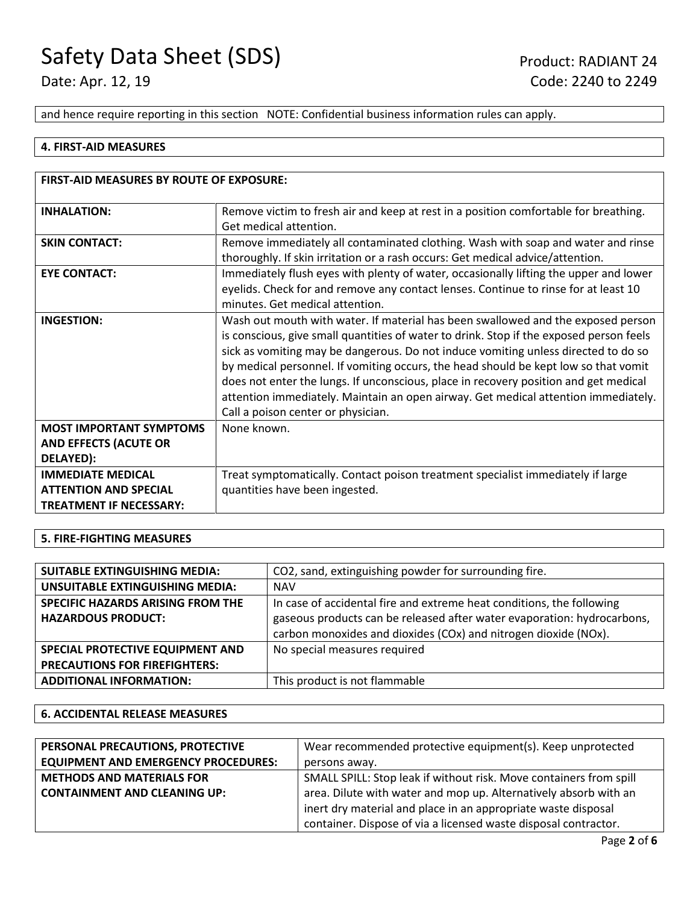and hence require reporting in this section NOTE: Confidential business information rules can apply.

#### **4. FIRST-AID MEASURES**

| <b>FIRST-AID MEASURES BY ROUTE OF EXPOSURE:</b>                                            |                                                                                                                                                                                                                                                                                                                                                                                                                                                                                                                                                                              |  |
|--------------------------------------------------------------------------------------------|------------------------------------------------------------------------------------------------------------------------------------------------------------------------------------------------------------------------------------------------------------------------------------------------------------------------------------------------------------------------------------------------------------------------------------------------------------------------------------------------------------------------------------------------------------------------------|--|
| <b>INHALATION:</b>                                                                         | Remove victim to fresh air and keep at rest in a position comfortable for breathing.<br>Get medical attention.                                                                                                                                                                                                                                                                                                                                                                                                                                                               |  |
| <b>SKIN CONTACT:</b>                                                                       | Remove immediately all contaminated clothing. Wash with soap and water and rinse<br>thoroughly. If skin irritation or a rash occurs: Get medical advice/attention.                                                                                                                                                                                                                                                                                                                                                                                                           |  |
| <b>EYE CONTACT:</b>                                                                        | Immediately flush eyes with plenty of water, occasionally lifting the upper and lower<br>eyelids. Check for and remove any contact lenses. Continue to rinse for at least 10<br>minutes. Get medical attention.                                                                                                                                                                                                                                                                                                                                                              |  |
| <b>INGESTION:</b>                                                                          | Wash out mouth with water. If material has been swallowed and the exposed person<br>is conscious, give small quantities of water to drink. Stop if the exposed person feels<br>sick as vomiting may be dangerous. Do not induce vomiting unless directed to do so<br>by medical personnel. If vomiting occurs, the head should be kept low so that vomit<br>does not enter the lungs. If unconscious, place in recovery position and get medical<br>attention immediately. Maintain an open airway. Get medical attention immediately.<br>Call a poison center or physician. |  |
| <b>MOST IMPORTANT SYMPTOMS</b><br><b>AND EFFECTS (ACUTE OR</b><br>DELAYED):                | None known.                                                                                                                                                                                                                                                                                                                                                                                                                                                                                                                                                                  |  |
| <b>IMMEDIATE MEDICAL</b><br><b>ATTENTION AND SPECIAL</b><br><b>TREATMENT IF NECESSARY:</b> | Treat symptomatically. Contact poison treatment specialist immediately if large<br>quantities have been ingested.                                                                                                                                                                                                                                                                                                                                                                                                                                                            |  |

#### **5. FIRE-FIGHTING MEASURES**

| <b>SUITABLE EXTINGUISHING MEDIA:</b> | CO2, sand, extinguishing powder for surrounding fire.                   |
|--------------------------------------|-------------------------------------------------------------------------|
| UNSUITABLE EXTINGUISHING MEDIA:      | <b>NAV</b>                                                              |
| SPECIFIC HAZARDS ARISING FROM THE    | In case of accidental fire and extreme heat conditions, the following   |
| <b>HAZARDOUS PRODUCT:</b>            | gaseous products can be released after water evaporation: hydrocarbons, |
|                                      | carbon monoxides and dioxides (COx) and nitrogen dioxide (NOx).         |
| SPECIAL PROTECTIVE EQUIPMENT AND     | No special measures required                                            |
| <b>PRECAUTIONS FOR FIREFIGHTERS:</b> |                                                                         |
| <b>ADDITIONAL INFORMATION:</b>       | This product is not flammable                                           |
|                                      |                                                                         |

#### **6. ACCIDENTAL RELEASE MEASURES**

| PERSONAL PRECAUTIONS, PROTECTIVE           | Wear recommended protective equipment(s). Keep unprotected         |  |
|--------------------------------------------|--------------------------------------------------------------------|--|
| <b>EQUIPMENT AND EMERGENCY PROCEDURES:</b> | persons away.                                                      |  |
| <b>METHODS AND MATERIALS FOR</b>           | SMALL SPILL: Stop leak if without risk. Move containers from spill |  |
| <b>CONTAINMENT AND CLEANING UP:</b>        | area. Dilute with water and mop up. Alternatively absorb with an   |  |
|                                            | inert dry material and place in an appropriate waste disposal      |  |
|                                            | container. Dispose of via a licensed waste disposal contractor.    |  |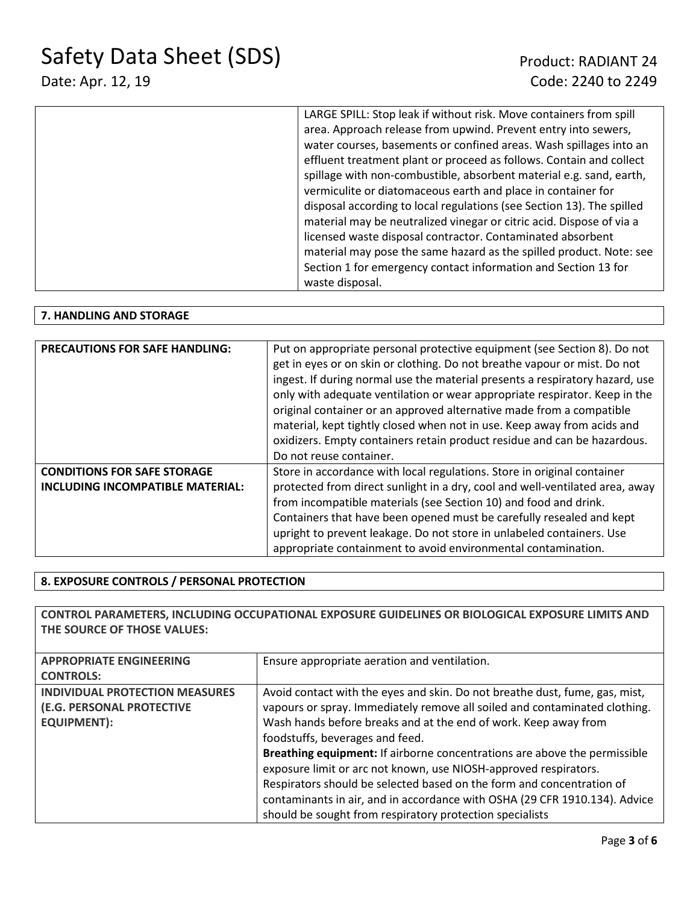| LARGE SPILL: Stop leak if without risk. Move containers from spill    |
|-----------------------------------------------------------------------|
| area. Approach release from upwind. Prevent entry into sewers,        |
| water courses, basements or confined areas. Wash spillages into an    |
| effluent treatment plant or proceed as follows. Contain and collect   |
| spillage with non-combustible, absorbent material e.g. sand, earth,   |
| vermiculite or diatomaceous earth and place in container for          |
| disposal according to local regulations (see Section 13). The spilled |
| material may be neutralized vinegar or citric acid. Dispose of via a  |
| licensed waste disposal contractor. Contaminated absorbent            |
| material may pose the same hazard as the spilled product. Note: see   |
| Section 1 for emergency contact information and Section 13 for        |
| waste disposal.                                                       |
|                                                                       |

#### **7. HANDLING AND STORAGE**

| <b>PRECAUTIONS FOR SAFE HANDLING:</b>   | Put on appropriate personal protective equipment (see Section 8). Do not     |  |
|-----------------------------------------|------------------------------------------------------------------------------|--|
|                                         | get in eyes or on skin or clothing. Do not breathe vapour or mist. Do not    |  |
|                                         | ingest. If during normal use the material presents a respiratory hazard, use |  |
|                                         |                                                                              |  |
|                                         | only with adequate ventilation or wear appropriate respirator. Keep in the   |  |
|                                         | original container or an approved alternative made from a compatible         |  |
|                                         | material, kept tightly closed when not in use. Keep away from acids and      |  |
|                                         | oxidizers. Empty containers retain product residue and can be hazardous.     |  |
|                                         | Do not reuse container.                                                      |  |
| <b>CONDITIONS FOR SAFE STORAGE</b>      | Store in accordance with local regulations. Store in original container      |  |
| <b>INCLUDING INCOMPATIBLE MATERIAL:</b> | protected from direct sunlight in a dry, cool and well-ventilated area, away |  |
|                                         | from incompatible materials (see Section 10) and food and drink.             |  |
|                                         | Containers that have been opened must be carefully resealed and kept         |  |
|                                         | upright to prevent leakage. Do not store in unlabeled containers. Use        |  |
|                                         | appropriate containment to avoid environmental contamination.                |  |

### **8. EXPOSURE CONTROLS / PERSONAL PROTECTION**

| CONTROL PARAMETERS, INCLUDING OCCUPATIONAL EXPOSURE GUIDELINES OR BIOLOGICAL EXPOSURE LIMITS AND<br>THE SOURCE OF THOSE VALUES: |                                                                                                                                                                                                                                                                                                                                                                                                                                                                                                                                                                                                                                     |  |
|---------------------------------------------------------------------------------------------------------------------------------|-------------------------------------------------------------------------------------------------------------------------------------------------------------------------------------------------------------------------------------------------------------------------------------------------------------------------------------------------------------------------------------------------------------------------------------------------------------------------------------------------------------------------------------------------------------------------------------------------------------------------------------|--|
| <b>APPROPRIATE ENGINEERING</b><br><b>CONTROLS:</b>                                                                              | Ensure appropriate aeration and ventilation.                                                                                                                                                                                                                                                                                                                                                                                                                                                                                                                                                                                        |  |
| <b>INDIVIDUAL PROTECTION MEASURES</b><br>(E.G. PERSONAL PROTECTIVE<br><b>EQUIPMENT):</b>                                        | Avoid contact with the eyes and skin. Do not breathe dust, fume, gas, mist,<br>vapours or spray. Immediately remove all soiled and contaminated clothing.<br>Wash hands before breaks and at the end of work. Keep away from<br>foodstuffs, beverages and feed.<br>Breathing equipment: If airborne concentrations are above the permissible<br>exposure limit or arc not known, use NIOSH-approved respirators.<br>Respirators should be selected based on the form and concentration of<br>contaminants in air, and in accordance with OSHA (29 CFR 1910.134). Advice<br>should be sought from respiratory protection specialists |  |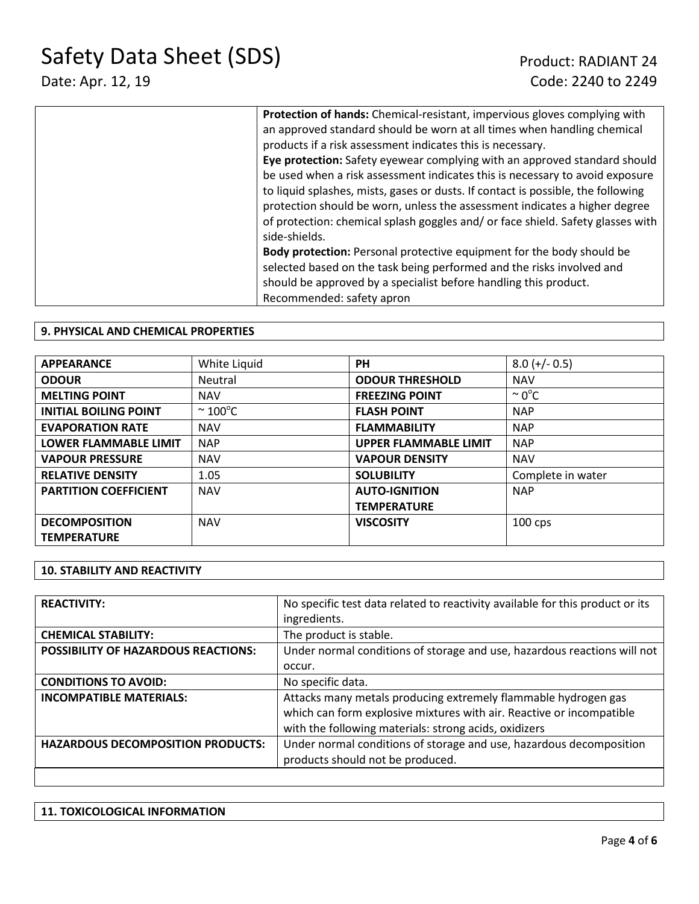| Protection of hands: Chemical-resistant, impervious gloves complying with        |
|----------------------------------------------------------------------------------|
| an approved standard should be worn at all times when handling chemical          |
| products if a risk assessment indicates this is necessary.                       |
| Eye protection: Safety eyewear complying with an approved standard should        |
| be used when a risk assessment indicates this is necessary to avoid exposure     |
| to liquid splashes, mists, gases or dusts. If contact is possible, the following |
| protection should be worn, unless the assessment indicates a higher degree       |
| of protection: chemical splash goggles and/or face shield. Safety glasses with   |
| side-shields.                                                                    |
| <b>Body protection:</b> Personal protective equipment for the body should be     |
| selected based on the task being performed and the risks involved and            |
| should be approved by a specialist before handling this product.                 |
| Recommended: safety apron                                                        |

#### **9. PHYSICAL AND CHEMICAL PROPERTIES**

| <b>APPEARANCE</b>            | White Liquid            | <b>PH</b>                    | $8.0 (+/- 0.5)$    |
|------------------------------|-------------------------|------------------------------|--------------------|
| <b>ODOUR</b>                 | Neutral                 | <b>ODOUR THRESHOLD</b>       | <b>NAV</b>         |
| <b>MELTING POINT</b>         | <b>NAV</b>              | <b>FREEZING POINT</b>        | $\sim 0^{\circ}$ C |
| <b>INITIAL BOILING POINT</b> | $\approx 100^{\circ}$ C | <b>FLASH POINT</b>           | <b>NAP</b>         |
| <b>EVAPORATION RATE</b>      | <b>NAV</b>              | <b>FLAMMABILITY</b>          | <b>NAP</b>         |
| <b>LOWER FLAMMABLE LIMIT</b> | <b>NAP</b>              | <b>UPPER FLAMMABLE LIMIT</b> | <b>NAP</b>         |
| <b>VAPOUR PRESSURE</b>       | <b>NAV</b>              | <b>VAPOUR DENSITY</b>        | <b>NAV</b>         |
| <b>RELATIVE DENSITY</b>      | 1.05                    | <b>SOLUBILITY</b>            | Complete in water  |
| <b>PARTITION COEFFICIENT</b> | <b>NAV</b>              | <b>AUTO-IGNITION</b>         | <b>NAP</b>         |
|                              |                         | <b>TEMPERATURE</b>           |                    |
| <b>DECOMPOSITION</b>         | <b>NAV</b>              | <b>VISCOSITY</b>             | $100$ cps          |
| <b>TEMPERATURE</b>           |                         |                              |                    |

#### **10. STABILITY AND REACTIVITY**

| <b>REACTIVITY:</b>                         | No specific test data related to reactivity available for this product or its |
|--------------------------------------------|-------------------------------------------------------------------------------|
|                                            | ingredients.                                                                  |
| <b>CHEMICAL STABILITY:</b>                 | The product is stable.                                                        |
| <b>POSSIBILITY OF HAZARDOUS REACTIONS:</b> | Under normal conditions of storage and use, hazardous reactions will not      |
|                                            | occur.                                                                        |
| <b>CONDITIONS TO AVOID:</b>                | No specific data.                                                             |
| <b>INCOMPATIBLE MATERIALS:</b>             | Attacks many metals producing extremely flammable hydrogen gas                |
|                                            | which can form explosive mixtures with air. Reactive or incompatible          |
|                                            | with the following materials: strong acids, oxidizers                         |
| <b>HAZARDOUS DECOMPOSITION PRODUCTS:</b>   | Under normal conditions of storage and use, hazardous decomposition           |
|                                            | products should not be produced.                                              |
|                                            |                                                                               |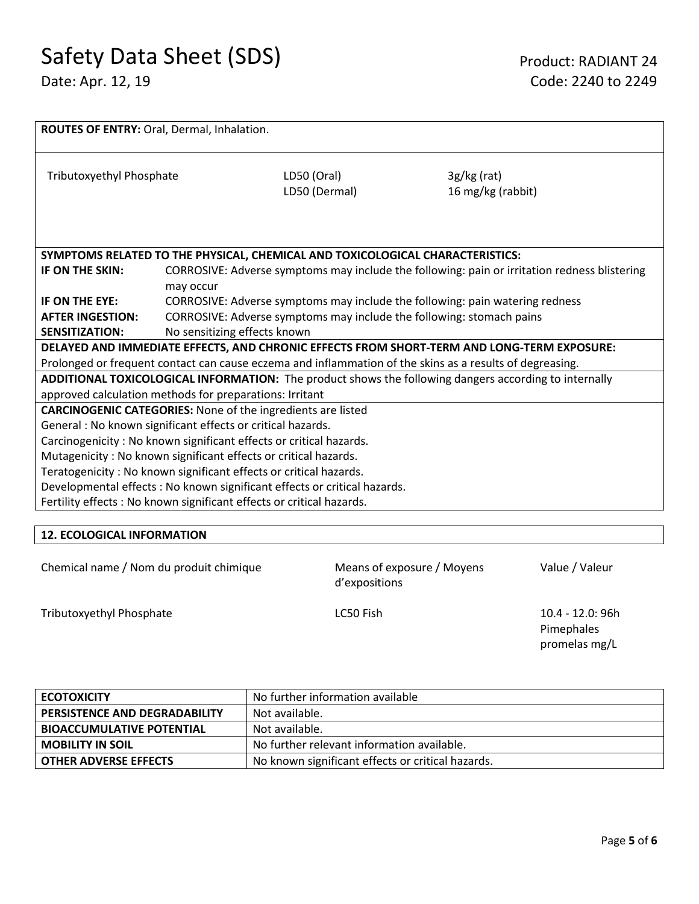| ROUTES OF ENTRY: Oral, Dermal, Inhalation.                                                               |                                                                                              |                                                                               |                                    |  |
|----------------------------------------------------------------------------------------------------------|----------------------------------------------------------------------------------------------|-------------------------------------------------------------------------------|------------------------------------|--|
| Tributoxyethyl Phosphate                                                                                 |                                                                                              | LD50 (Oral)<br>LD50 (Dermal)                                                  | $3g/kg$ (rat)<br>16 mg/kg (rabbit) |  |
|                                                                                                          |                                                                                              | SYMPTOMS RELATED TO THE PHYSICAL, CHEMICAL AND TOXICOLOGICAL CHARACTERISTICS: |                                    |  |
| IF ON THE SKIN:                                                                                          | CORROSIVE: Adverse symptoms may include the following: pain or irritation redness blistering |                                                                               |                                    |  |
|                                                                                                          | may occur                                                                                    |                                                                               |                                    |  |
| IF ON THE EYE:                                                                                           | CORROSIVE: Adverse symptoms may include the following: pain watering redness                 |                                                                               |                                    |  |
| <b>AFTER INGESTION:</b>                                                                                  | CORROSIVE: Adverse symptoms may include the following: stomach pains                         |                                                                               |                                    |  |
| <b>SENSITIZATION:</b>                                                                                    | No sensitizing effects known                                                                 |                                                                               |                                    |  |
| DELAYED AND IMMEDIATE EFFECTS, AND CHRONIC EFFECTS FROM SHORT-TERM AND LONG-TERM EXPOSURE:               |                                                                                              |                                                                               |                                    |  |
| Prolonged or frequent contact can cause eczema and inflammation of the skins as a results of degreasing. |                                                                                              |                                                                               |                                    |  |
| ADDITIONAL TOXICOLOGICAL INFORMATION: The product shows the following dangers according to internally    |                                                                                              |                                                                               |                                    |  |
| approved calculation methods for preparations: Irritant                                                  |                                                                                              |                                                                               |                                    |  |
| <b>CARCINOGENIC CATEGORIES:</b> None of the ingredients are listed                                       |                                                                                              |                                                                               |                                    |  |
| General : No known significant effects or critical hazards.                                              |                                                                                              |                                                                               |                                    |  |
| Carcinogenicity : No known significant effects or critical hazards.                                      |                                                                                              |                                                                               |                                    |  |
| Mutagenicity: No known significant effects or critical hazards.                                          |                                                                                              |                                                                               |                                    |  |
| Teratogenicity: No known significant effects or critical hazards.                                        |                                                                                              |                                                                               |                                    |  |
| Developmental effects : No known significant effects or critical hazards.                                |                                                                                              |                                                                               |                                    |  |
| Fertility effects : No known significant effects or critical hazards.                                    |                                                                                              |                                                                               |                                    |  |
|                                                                                                          |                                                                                              |                                                                               |                                    |  |

#### **12. ECOLOGICAL INFORMATION**

| Chemical name / Nom du produit chimique |  |  |  |  |
|-----------------------------------------|--|--|--|--|
|-----------------------------------------|--|--|--|--|

Means of exposure / Moyens d'expositions

Value / Valeur

Tributoxyethyl Phosphate **LC50** Fish LC50 Fish 10.4 - 12.0: 96h

Pimephales promelas mg/L

| <b>ECOTOXICITY</b>                   | No further information available                  |
|--------------------------------------|---------------------------------------------------|
| <b>PERSISTENCE AND DEGRADABILITY</b> | Not available.                                    |
| <b>BIOACCUMULATIVE POTENTIAL</b>     | Not available.                                    |
| <b>MOBILITY IN SOIL</b>              | No further relevant information available.        |
| <b>OTHER ADVERSE EFFECTS</b>         | No known significant effects or critical hazards. |